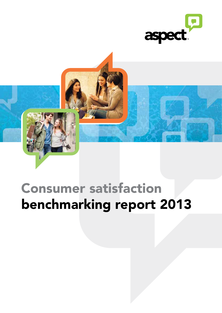



# Consumer satisfaction benchmarking report 2013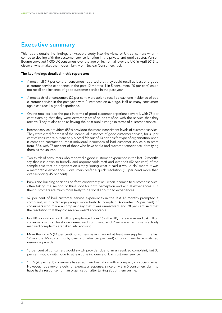### Executive summary

This report details the findings of Aspect's study into the views of UK consumers when it comes to dealing with the customer service function in the private and public sector. Vanson Bourne surveyed 1,000 UK consumers over the age of 16, from all over the UK, in April 2013 to discover what makes the modern family of 'Nuclear Consumers' tick.

#### The key findings detailed in this report are:

- Almost half (47 per cent) of consumers reported that they could recall at least one good customer service experience in the past 12 months. 1 in 5 consumers (20 per cent) could not recall one instance of good customer service in the past year.
- Almost a third of consumers (32 per cent) were able to recall at least one incidence of bad customer service in the past year, with 2 instances on average. Half as many consumers again can recall a good experience.
- Online retailers lead the pack in terms of good customer experience overall, with 78 per cent claiming that they were extremely satisfied or satisfied with the service that they receive. They're also seen as having the best public image in terms of customer service.
- Internet service providers (ISPs) provided the most inconsistent levels of customer service. They were cited for most of the individual instances of good customer service, for 31 per cent of consumers, but are only placed 7th out of 13 options for type of organisation when it comes to satisfaction. Most individual incidences of bad customer service also stem from ISPs, with 27 per cent of those who have had a bad customer experience identifying them as the source.
- Two thirds of consumers who reported a good customer experience in the last 12 months say that it is down to friendly and approachable staff and over half (52 per cent) of the sample said that an organisation simply 'doing what it said it would do' meant it was a memorable experience. Consumers prefer a quick resolution (55 per cent) more than over-servicing (45 per cent).
- Banks and building societies perform consistently well when it comes to customer service, often taking the second or third spot for both perception and actual experiences. But their customers are much more likely to be vocal about bad experiences.
- 67 per cent of bad customer service experiences in the last 12 months prompted a complaint, with older age groups more likely to complain. A quarter (25 per cent) of consumers who made a complaint say that it was unresolved, and 38 per cent said that the resolution that they did receive wasn't acceptable.
- In a UK population of 63 million people aged over 16 in the UK, there are around 3.4 million consumers with at least one unresolved complaint, and 9 million when unsatisfactorily resolved complaints are taken into account.
- More than 2 in 5 (44 per cent) consumers have changed at least one supplier in the last 12 months. Most commonly, over a quarter (26 per cent) of consumers have switched insurance provider.
- 13 per cent of consumers would switch provider due to an unresolved complaint, but 30 per cent would switch due to at least one incidence of bad customer service.
- 1 in 5 (20 per cent) consumers has aired their frustration with a company via social media. However, not everyone gets, or expects a response, since only 3 in 5 consumers claim to have had a response from an organisation after talking about them online.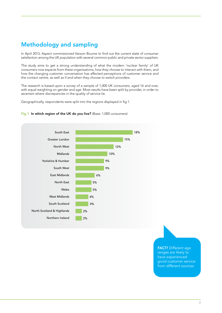# Methodology and sampling

In April 2013, Aspect commissioned Vanson Bourne to find out the current state of consumer satisfaction among the UK population with several common public and private sector suppliers.

The study aims to get a strong understanding of what the modern 'nuclear family' of UK consumers now expects from these organisations, how they choose to interact with them, and how the changing customer conversation has affected perceptions of customer service and the contact centre, as well as if and when they choose to switch providers.

The research is based upon a survey of a sample of 1,000 UK consumers, aged 16 and over, with equal weighting on gender and age. Most results have been split by provider, in order to ascertain where discrepancies in the quality of service lie.

Geographically, respondents were split into the regions displayed in fig.1.

#### Fig.1 In which region of the UK do you live? (Base: 1,000 consumers)



**FACT!** Different age ranges are likely to have experienced good customer service from different sources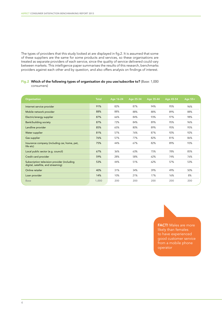The types of providers that this study looked at are displayed in fig.2. It is assumed that some of these suppliers are the same for some products and services, so these organisations are treated as separate providers of each service, since the quality of service delivered could vary between markets. This intelligence paper summarises the results of this research, benchmarks providers against each other and by question, and also offers analysis on findings of interest.

Fig.2 Which of the following types of organisation do you use/subscribe to? (Base: 1,000 consumers)

| Organisation                                                                      | <b>Total</b> | Age 16-24 | Age 25-34 | Age 35-44 | Age 45-54 | Age 55+ |
|-----------------------------------------------------------------------------------|--------------|-----------|-----------|-----------|-----------|---------|
| Internet service provider                                                         | 91%          | 82%       | 87%       | 94%       | 95%       | 96%     |
| Mobile network provider                                                           | 88%          | 88%       | 88%       | 88%       | 89%       | 88%     |
| Electric/energy supplier                                                          | 87%          | 66%       | 84%       | 93%       | 97%       | 98%     |
| <b>Bank/building society</b>                                                      | 87%          | 72%       | 84%       | 89%       | 95%       | 96%     |
| Landline provider                                                                 | 85%          | 65%       | 80%       | 89%       | 95%       | 95%     |
| Water supplier                                                                    | 81%          | 57%       | 76%       | 87%       | 92%       | 92%     |
| Gas supplier                                                                      | 76%          | 57%       | 77%       | 82%       | 81%       | 86%     |
| Insurance company (including car, home, pet,<br>life etc)                         | 75%          | 44%       | 67%       | 82%       | 89%       | 93%     |
| Local public sector (e.g. council)                                                | 67%          | 36%       | 63%       | 75%       | 78%       | 85%     |
| Credit card provider                                                              | 59%          | 28%       | 58%       | 62%       | 74%       | 76%     |
| Subscription television provider (including<br>digital, satellite, and streaming) | 53%          | 44%       | 51%       | 62%       | 57%       | 53%     |
| Online retailer                                                                   | 40%          | 31%       | 34%       | 39%       | 49%       | 50%     |
| Loan provider                                                                     | 14%          | 10%       | 21%       | 17%       | 16%       | 8%      |
| <b>Base</b>                                                                       | 1,000        | 200       | 200       | 200       | 200       | 200     |

FACT! Males are more likely than females to have experienced good customer service from a mobile phone operator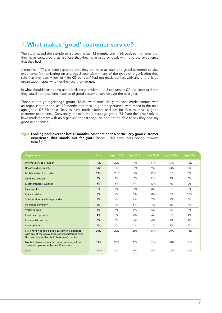### 1.What makes 'good' customer service?

The study asked the sample to isolate the last 12 months and think back to the times that they have contacted organisations that they have used or dealt with, and the experience that they had.

Almost half (47 per cent) reported that they did have at least one good customer service experience (remembering on average 2 counts); with any of the types of organisation they said that they use. A further third (33 per cent) had not made contact with any of the listed organisation types, whether they use them or not.

In what should start to ring alarm bells for providers, 1 in 5 consumers (20 per cent) said that they could not recall one instance of good customer service over the past year.

Those in the youngest age group (16-24) were most likely to have made contact with an organisation in the last 12 months and recall a good experience, with those in the next age group (25-34) most likely to have made contact and not be able to recall a good customer experience. Conversely, those in the oldest age group (55+) are the least likely to have made contact with an organisation that they use, and not be able to say they had any good experiences.

Fig.3 Looking back over the last 12 months, has there been a particularly good customer experience that stands out for you? (Base: 1,000 consumers seeing answers from fig.2)

| Organisation                                                                                                                                       | <b>Total</b> | Age 16-24 | Age 25-34 | Age 35-44 | Age 45-54 | Age $55+$ |
|----------------------------------------------------------------------------------------------------------------------------------------------------|--------------|-----------|-----------|-----------|-----------|-----------|
| Internet service provider                                                                                                                          | 15%          | 20%       | 14%       | 11%       | 13%       | 16%       |
| <b>Bank/building society</b>                                                                                                                       | 13%          | 15%       | 13%       | 9%        | 13%       | 18%       |
| Mobile network provider                                                                                                                            | 13%          | 25%       | 12%       | 15%       | 6%        | 6%        |
| Landline provider                                                                                                                                  | 8%           | 7%        | 10%       | 11%       | 7%        | 8%        |
| Electric/energy supplier                                                                                                                           | 8%           | 6%        | 8%        | 10%       | 7%        | 9%        |
| Gas supplier                                                                                                                                       | 8%           | 5%        | 11%       | 8%        | 6%        | 8%        |
| Online retailer                                                                                                                                    | 7%           | 9%        | 3%        | 8%        | 7%        | 10%       |
| Subscription television provider                                                                                                                   | 6%           | 6%        | 8%        | 7%        | 6%        | 5%        |
| Insurance company                                                                                                                                  | 6%           | 7%        | 6%        | 4%        | 5%        | 7%        |
| Water supplier                                                                                                                                     | 4%           | 4%        | 5%        | 5%        | 5%        | 3%        |
| Credit card provider                                                                                                                               | 4%           | 3%        | 6%        | 4%        | 2%        | 4%        |
| Local public sector                                                                                                                                | 3%           | 3%        | 4%        | 4%        | 2%        | 2%        |
| Loan provider                                                                                                                                      | 1%           | 1%        | 2%        | 1%        | 1%        | 2%        |
| No, I have not had a good customer experience<br>with any of the above types of organisations over<br>the past 12 months - but I have made contact | 20%          | 20%       | 26%       | 19%       | 20%       | 14%       |
| No, but I have not made contact with any of the<br>above companies in the last 12 months                                                           | 33%          | 28%       | 38%       | 36%       | 30%       | 35%       |
| <b>Base</b>                                                                                                                                        | 1,000        | 200       | 200       | 200       | 200       | 200       |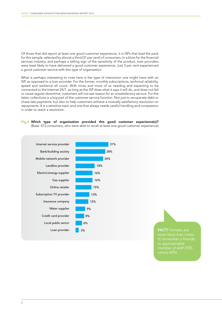Of those that did report at least one good customer experience, it is ISPs that lead the pack for this sample, selected by almost a third (31 per cent) of consumers. In a blow for the financial services industry, and perhaps a telling sign of the sensitivity of the product, loan providers were least likely to have delivered a good customer experience. Just 3 per cent experienced a good customer service with this type of organisation.

What is perhaps interesting to note here is the type of interaction one might have with an ISP, as opposed to a loan provider. For the former, monthly subscriptions, technical reliability, speed and resilience all count. With more and more of us needing and expecting to be connected to the Internet 24/7, as long as the ISP does what it says it will do, and does not fail or cause regular downtime, customers will not see reason for an unsatisfactory service. For the latter, collections is a big part of the customer service function. Not just to recuperate debt or chase late payments, but also to help customers achieve a mutually satisfactory resolution on repayments. It is a sensitive topic and one that always needs careful handling and compassion in order to reach a resolution.





more likely than males versus 60%)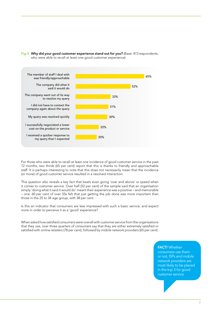

Fig.5 Why did your good customer experience stand out for you? (Base: 473 respondents, who were able to recall at least one good customer experience)

For those who were able to recall at least one incidence of good customer service in the past 12 months, two thirds (65 per cent) report that this is thanks to friendly and approachable staff. It is perhaps interesting to note that this does not necessarily mean that the incidence (or more) of good customer service resulted in a resolved interaction.

This question also reveals a key fact that beats even going 'over and above' or speed when it comes to customer service. Over half (52 per cent) of the sample said that an organisation simply 'doing what it said it would do' meant their experience was a positive – and memorable – one. 60 per cent of over 55s felt that just getting the job done was more important than those in the 25 to 34 age group, with 38 per cent.

Is this an indicator that consumers are less impressed with such a basic service, and expect more in order to perceive it as a 'good' experience?

When asked how satisfied consumers were overall with customer service from the organisations that they use, over three quarters of consumers say that they are either extremely satisfied or satisfied with online retailers (78 per cent), followed by mobile network providers (65 per cent).

#### **FACT!** Whether

consumers use them or not, ISPs and mobile network providers are most likely to be placed in the top 3 for good customer service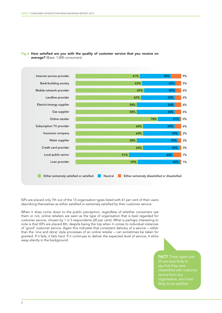

#### Fig.6 How satisfied are you with the quality of customer service that you receive on average? (Base: 1,000 consumers)

ISPs are placed only 7th out of the 13 organisation types listed with 61 per cent of their users describing themselves as either satisfied or extremely satisfied by their customer service.

When it does come down to the public perception, regardless of whether consumers use them or not, online retailers are seen as the type of organisation that is best regarded for customer service, chosen by 1 in 5 respondents (20 per cent). What is perhaps interesting to note is that ISPs are placed 4th, despite being the top when it comes to individual instances of 'good' customer service. Again this indicates that consistent delivery of a service – rather than the 'one and done' style processes of an online retailer – can sometimes be taken for granted. If it fails, it fails hard. If it continues to deliver the expected level of service, it whirs away silently in the background.

> FACT! Those aged over organisation, and most likely to be satisfied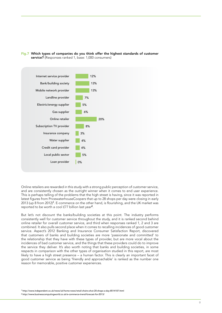



Online retailers are rewarded in this study with a strong public perception of customer service, and are consistently chosen as the outright winner when it comes to end user experience. This is perhaps telling of the problems that the high street is having, since it was reported in latest figures from PricewaterhouseCoopers that up to 28 shops per day were closing in early 2013 (up 8 from 2012)<sup>1</sup>. E-commerce on the other hand, is flourishing, and the UK market was reported to be worth a cool £77 billion last year<sup>2</sup>.

But let's not discount the banks/building societies at this point. The industry performs consistently well for customer service throughout the study, and it is ranked second behind online retailer for overall customer service, and third when responses ranked 1, 2 and 3 are combined. It also pulls second place when it comes to recalling incidences of good customer service. Aspect's 2012 Banking and Insurance Consumer Satisfaction Report, discovered that customers of banks and building societies are more 'passionate and committed' to the relationship that they have with these types of provider, but are more vocal about the incidences of bad customer service, and the things that these providers could do to improve the service they deliver. It's also worth noting that banks and building societies, in some respects in comparison with the other types of organisation studied in this report, are most likely to have a high street presence – a human factor. This is clearly an important facet of good customer service as being 'friendly and approachable' is ranked as the number one reason for memorable, positive customer experiences.

<sup>1</sup> http://www.independent.co.uk/news/uk/home-news/retail-chains-shut-20-shops-a-day-8514107.html

2 http://www.businesscomputingworld.co.uk/e-commerce-trend-forecast-for-2013/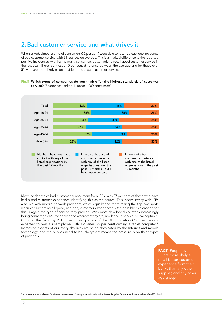### 2.Bad customer service and what drives it

When asked, almost a third of consumers (32 per cent) were able to recall at least one incidence of bad customer service, with 2 instances on average. This is a marked difference to the reported positive incidences, with half as many consumers better able to recall good customer service in the last year. There is almost a 10 per cent difference between the average and for those over 55, who are more likely to be unable to recall bad customer service.





Most incidences of bad customer service stem from ISPs, with 27 per cent of those who have had a bad customer experience identifying this as the source. This inconsistency with ISPs also lies with mobile network providers, which equally see them taking the top two spots when consumers recall good, and bad, customer experiences. One possible explanation for this is again the type of service they provide. With most developed countries increasingly being connected 24/7, whenever and wherever they are, any lapse in service is unacceptable. Consider the facts: by 2015, over three quarters of the UK population (75.5 per cent) is expected to own a smart phone, with a quarter (25 per cent) owning a tablet computer<sup>3</sup>. Increasing aspects of our every day lives are being dominated by the Internet and mobile technology, and the public's need to be 'always on' means the pressure is on these types of providers.

> FACT! People over 55 are more likely to recall better customer experience from their banks than any other supplier, and any other age group

<sup>3</sup> http://www.standard.co.uk/business/business-news/smartphones-tipped-to-dominate-uk-by-2015-but-ireland-storms-ahead-8489971.html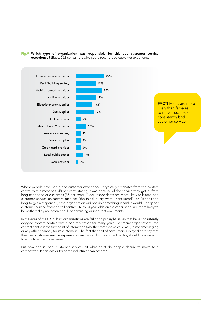

Fig.9 Which type of organisation was responsible for this bad customer service experience? (Base: 322 consumers who could recall a bad customer experience)

Where people have had a bad customer experience, it typically emanates from the contact centre, with almost half (48 per cent) stating it was because of the service they got or from long telephone queue times (35 per cent). Older respondents are more likely to blame bad customer service on factors such as: "the initial query went unanswered", or "it took too long to get a response", "the organisation did not do something it said it would", or "poor customer service from the call centre". 16 to 24 year-olds on the other hand, are more likely to be bothered by an incorrect bill, or confusing or incorrect documents.

In the eyes of the UK public, organisations are failing to put right issues that have consistently dogged contact centres with a bad reputation for many years. For many organisations, the contact centre is the first point of interaction (whether that's via voice, email, instant messaging or any other channel) for its customers. The fact that half of consumers surveyed here say that their bad customer service experiences are caused by the contact centre, should be a warning to work to solve these issues.

But how bad is 'bad' customer service? At what point do people decide to move to a competitor? Is this easier for some industries than others?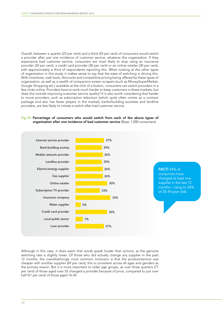Overall, between a quarter (23 per cent) and a third (33 per cent) of consumers would switch a provider after just one incidence of customer service, whatever the organisation. If they experience bad customer service, consumers are most likely to stop using an insurance provider (33 per cent), a credit card provider (30 per cent) or an online retailer (30 per cent), with approximately a third of respondents reporting this. When looking at the other types of organisation in this study, it makes sense to say that the ease of switching is driving this. With incentives, cash back, discounts and competitive pricing being offered by these types of organisation, as well as a wealth of comparison screen scrapers (such as MoneySuperMarket, Google Shopping etc.) available at the click of a button, consumers can switch providers in a few clicks online. Providers have to work much harder to keep customers in these markets, but does this include improving customer service quality? It is also worth considering that harder to move providers, such as subscription television (which quite often comes as a contract package and also has fewer players in the market), banks/building societies and landline providers, are less likely to initiate a switch after bad customer service.

#### Fig.10 Percentage of consumers who would switch from each of the above types of organisation after one incidence of bad customer service (Base: 1,000 consumers)



Although in this case, it does seem that words speak louder than actions, as the genuine switching rate is slightly lower. Of those who did actually change any supplier in the past 12 months, the overwhelmingly most common motivator is that the product/service was cheaper with another supplier (69 per cent); this is consistent across all ages and genders as the primary reason. But it is more important to older age groups, as over three quarters (77 per cent) of those aged over 55 changed a provider because of price, compared to just over half (51 per cent) of those aged 16-24.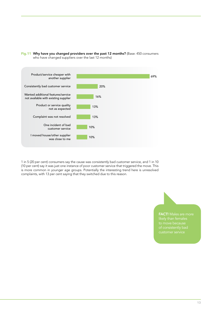

Fig.11 Why have you changed providers over the past 12 months? (Base: 450 consumers who have changed suppliers over the last 12 months)

1 in 5 (20 per cent) consumers say the cause was consistently bad customer service, and 1 in 10 (10 per cent) say it was just one instance of poor customer service that triggered the move. This is more common in younger age groups. Potentially the interesting trend here is unresolved complaints, with 13 per cent saying that they switched due to this reason.

FACT! Males are more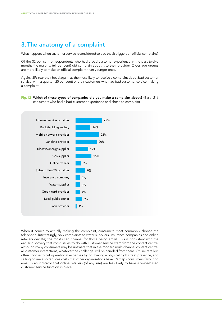# 3.The anatomy of a complaint

What happens when customer service is considered so bad that it triggers an official complaint?

Of the 32 per cent of respondents who had a bad customer experience in the past twelve months the majority (67 per cent) did complain about it to their provider. Older age groups are more likely to make an official complaint than younger ones.

Again, ISPs rear their head again, as the most likely to receive a complaint about bad customer service, with a quarter (25 per cent) of their customers who had bad customer service making a complaint.

#### Fig.12 Which of these types of companies did you make a complaint about? (Base: 216 consumers who had a bad customer experience and chose to complain)



When it comes to actually making the complaint, consumers most commonly choose the telephone. Interestingly, only complaints to water suppliers, insurance companies and online retailers deviate; the most used channel for those being email. This is consistent with the earlier discovery that most issues to do with customer service stem from the contact centre, although many consumers may be unaware that in the modern multi-channel contact centre, all customer interactions, whatever the challenge, will be handled from there. Online retailers often choose to cut operational expenses by not having a physical high street presence, and selling online also reduces costs that other organisations have. Perhaps consumers favouring email is an indicator that online retailers (of any size) are less likely to have a voice-based customer service function in place.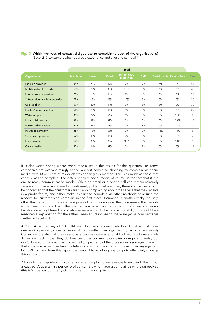|                                  |                  |        |        | <b>Total</b>               |            |                           |     |             |
|----------------------------------|------------------|--------|--------|----------------------------|------------|---------------------------|-----|-------------|
| Organisation                     | <b>Telephone</b> | Letter | E-mail | Instant chat/<br>messenger | <b>SMS</b> | Social media Face to face |     | <b>Base</b> |
| Landline provider                | 84%              | 9%     | 40%    | 2%                         | 0%         | 5%                        | 2%  | 43          |
| Mobile network provider          | 60%              | 23%    | 35%    | 13%                        | 8%         | 6%                        | 6%  | 48          |
| Internet service provider        | 72%              | 13%    | 40%    | 8%                         | 0%         | 4%                        | 6%  | 53          |
| Subscription television provider | 75%              | 15%    | 35%    | 10%                        | 5%         | 0%                        | 0%  | 20          |
| Gas supplier                     | 59%              | 22%    | 44%    | 0%                         | 6%         | 6%                        | 0%  | 32          |
| Electric/energy supplier         | 68%              | 20%    | 44%    | 4%                         | 0%         | 8%                        | 4%  | 25          |
| Water supplier                   | 33%              | 22%    | 56%    | 0%                         | 0%         | 0%                        | 11% | 9           |
| Local public sector              | 38%              | 31%    | 31%    | 0%                         | 8%         | 8%                        | 23% | 13          |
| <b>Bank/building society</b>     | 57%              | 27%    | 37%    | 7%                         | 3%         | 0%                        | 33% | 30          |
| Insurance company                | 38%              | 13%    | 63%    | 0%                         | 0%         | 13%                       | 13% | 8           |
| Credit card provider             | 67%              | 33%    | 44%    | 0%                         | 0%         | 0%                        | 0%  | 9           |
| Loan provider                    | 67%              | 33%    | 0%     | 33%                        | 0%         | 0%                        | 33% | 3           |
| Online retailer                  | 45%              | 0%     | 82%    | 0%                         | 9%         | 0%                        | 0%  | 11          |

### Fig.13 Which methods of contact did you use to complain to each of the organisations?

(Base: 216 consumers who had a bad experience and chose to complain)

It is also worth noting where social media lies in the results for this question. Insurance companies are overwhelmingly ahead when it comes to choosing to complain via social media, with 13 per cent of respondents choosing this method. This is as much as those that chose email to complain. The difference with social media of course, is the fact that it is a one-to-many communication model. While an email or a phone call can remain relatively secure and private, social media is extremely public. Perhaps then, these companies should be concerned that their customers are openly complaining about the service that they receive in a public forum, and either make it easier to complain via other methods or reduce the reasons for customers to complain in the first place. Insurance is another tricky industry; other than renewing policies once a year or buying a new one, the main reason that people would need to interact with them is to claim, which is often a period of stress and worry. Emotions are heightened, and customer service should be handled carefully. This could be a reasonable explanation for the rather knee-jerk response to make negative comments via Twitter or Facebook.

A 2013 Aspect survey of 100 UK-based business professionals found that almost three quarters (72 per cent) claim to use social media within their organisation, but only the minority (40 per cent) state that they use it as a two-way conversational tool with customers. Only 32 per cent admit that they do take customer communications (including complaints), but don't do anything about it. With over half (52 per cent) of the professionals surveyed claiming that social media will overtake the telephone as the main method of customer engagement by 2020, it's clear from this report that we still have a long way to go to effectively manage this seriously.

Although the majority of customer service complaints are eventually resolved, this is not always so. A quarter (25 per cent) of consumers who made a complaint say it is unresolved (this is 5.4 per cent of the 1,000 consumers in the sample).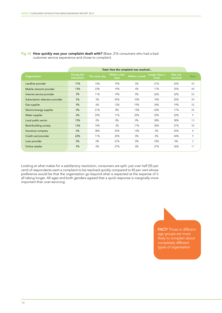|                                  | Total: How the complaint was resolved |              |                      |                      |                       |                     |             |  |  |
|----------------------------------|---------------------------------------|--------------|----------------------|----------------------|-----------------------|---------------------|-------------|--|--|
| <b>Organisation</b>              | During the<br>interaction             | The same day | Within a few<br>days | <b>Within a week</b> | Longer than a<br>week | Was not<br>resolved | <b>Base</b> |  |  |
| Landline provider                | 17%                                   | 14%          | 19%                  | 5%                   | 21%                   | 24%                 | 43          |  |  |
| Mobile network provider          | 13%                                   | 23%          | 19%                  | 4%                   | 17%                   | 25%                 | 48          |  |  |
| Internet service provider        | 2%                                    | 11%          | 19%                  | 9%                   | 26%                   | 32%                 | 53          |  |  |
| Subscription television provider | 5%                                    | 5%           | 45%                  | 10%                  | 10%                   | 25%                 | 20          |  |  |
| Gas supplier                     | 9%                                    | 6%           | 13%                  | 19%                  | 34%                   | 19%                 | 32          |  |  |
| Electric/energy supplier         | 0%                                    | 21%          | 8%                   | 13%                  | 42%                   | 17%                 | 25          |  |  |
| Water supplier                   | 0%                                    | 22%          | 11%                  | 22%                  | 22%                   | 22%                 | 9           |  |  |
| Local public sector              | 15%                                   | 0%           | 8%                   | 0%                   | 38%                   | 38%                 | 13          |  |  |
| <b>Bank/building society</b>     | 13%                                   | 10%          | 3%                   | 17%                  | 30%                   | 27%                 | 30          |  |  |
| Insurance company                | 0%                                    | 38%          | 25%                  | 13%                  | 0%                    | 25%                 | 8           |  |  |
| Credit card provider             | 22%                                   | 11%          | 22%                  | 0%                   | 0%                    | 44%                 | 9           |  |  |
| Loan provider                    | 0%                                    | 0%           | 67%                  | 0%                   | 33%                   | 0%                  | 3           |  |  |
| Online retailer                  | 9%                                    | 0%           | 27%                  | 0%                   | 27%                   | 36%                 | 11          |  |  |

Fig.14 How quickly was your complaint dealt with? (Base: 216 consumers who had a bad customer service experience and chose to complain)

Looking at what makes for a satisfactory resolution, consumers are split: just over half (55 per cent) of respondents want a complaint to be resolved quickly compared to 45 per cent whose preference would be that the organisation go beyond what is expected at the expense of it all taking longer. All ages and both genders agreed that a quick response is marginally more important than over-servicing.

> **FACT!** Those in different age groups are more likely to complain about completely different types of organisation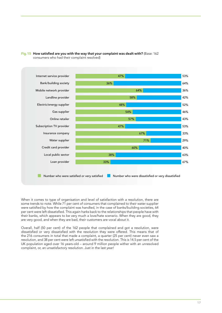

Fig.15 How satisfied are you with the way that your complaint was dealt with? (Base: 162 consumers who had their complaint resolved)

When it comes to type of organisation and level of satisfaction with a resolution, there are some trends to note. While 71 per cent of consumers that complained to their water supplier were satisfied by how the complaint was handled, in the case of banks/building societies, 64 per cent were left dissatisfied. This again harks back to the relationships that people have with their banks, which appears to be very much a love/hate scenario. When they are good, they are very good, and when they are bad, their customers are vocal about it.

Overall, half (50 per cent) of the 162 people that complained and got a resolution, were dissatisfied or very dissatisfied with the resolution they were offered. This means that of the 216 consumers in total that made a complaint, a quarter (25 per cent) never even saw a resolution, and 38 per cent were left unsatisfied with the resolution. This is 14.5 per cent of the UK population aged over 16 years-old – around 9 million people wither with an unresolved complaint, or, an unsatisfactory resolution. Just in the last year!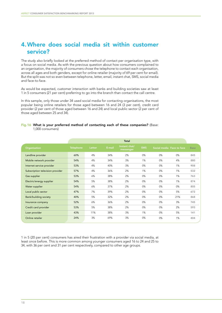## 4. Where does social media sit within customer service?

The study also briefly looked at the preferred method of contact per organisation type, with a focus on social media. As with the previous question about how consumers complained to an organisation, the majority of consumers chose the telephone to contact each organisation, across all ages and both genders, except for online retailer (majority of 69 per cent for email). But the split was not so even between telephone, letter, email, instant chat, SMS, social media and face-to-face.

As would be expected, customer interaction with banks and building societies saw at least 1 in 5 consumers (21 per cent) preferring to go into the branch than contact the call centre.

In this sample, only those under 34 used social media for contacting organisations, the most popular being online retailers for those aged between 16 and 24 (3 per cent), credit card provider (2 per cent of those aged between 16 and 24) and local public sector (2 per cent of those aged between 25 and 34).

# Fig.16 What is your preferred method of contacting each of these companies? (Base:

|                                  |                  |        |        | <b>Total</b>               |            |                           |     |             |
|----------------------------------|------------------|--------|--------|----------------------------|------------|---------------------------|-----|-------------|
| Organisation                     | <b>Telephone</b> | Letter | E-mail | Instant chat/<br>messenger | <b>SMS</b> | Social media Face to face |     | <b>Base</b> |
| Landline provider                | 60%              | 4%     | 34%    | 2%                         | 0%         | 0%                        | 0%  | 845         |
| Mobile network provider          | 54%              | 4%     | 34%    | 3%                         | 1%         | 0%                        | 4%  | 880         |
| Internet service provider        | 53%              | 4%     | 40%    | 3%                         | 0%         | 0%                        | 1%  | 908         |
| Subscription television provider | 57%              | 4%     | 36%    | 2%                         | 1%         | 0%                        | 1%  | 532         |
| Gas supplier                     | 53%              | 6%     | 38%    | 2%                         | 0%         | 0%                        | 1%  | 763         |
| Electric/energy supplier         | 54%              | 5%     | 38%    | 2%                         | 0%         | 0%                        | 1%  | 874         |
| Water supplier                   | 54%              | 6%     | 37%    | 2%                         | 0%         | 0%                        | 0%  | 805         |
| Local public sector              | 47%              | 7%     | 39%    | 2%                         | 0%         | 0%                        | 5%  | 672         |
| <b>Bank/building society</b>     | 40%              | 5%     | 32%    | 2%                         | 0%         | 0%                        | 21% | 868         |
| Insurance company                | 52%              | 6%     | 36%    | 2%                         | 0%         | 0%                        | 3%  | 745         |
| Credit card provider             | 53%              | 5%     | 38%    | 2%                         | 0%         | 0%                        | 2%  | 593         |
| Loan provider                    | 43%              | 11%    | 38%    | 3%                         | 1%         | 0%                        | 5%  | 141         |
| Online retailer                  | 24%              | 3%     | 69%    | 3%                         | 0%         | 0%                        | 1%  | 404         |

1 in 5 (20 per cent) consumers has aired their frustration with a provider via social media, at least once before. This is more common among younger consumers aged 16 to 24 and 25 to 34, with 36 per cent and 31 per cent respectively, compared to other age groups.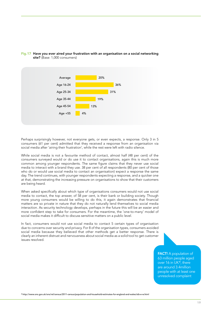

#### Fig.17 Have you ever aired your frustration with an organisation on a social networking site? (Base: 1,000 consumers)

Perhaps surprisingly however, not everyone gets, or even expects, a response. Only 3 in 5 consumers (61 per cent) admitted that they received a response from an organisation via social media after 'airing their frustration', while the rest were left with radio silence.

While social media is not a favourite method of contact, almost half (48 per cent) of the consumers surveyed would or do use it to contact organisations, again this is much more common among younger respondents. The same figure claims that they never use social media to interact with a brand they use. 38 per cent of all respondents (80 per cent of those who do or would use social media to contact an organisation) expect a response the same day. The trend continues, with younger respondents expecting a response, and a quicker one at that, demonstrating the increasing pressure on organisations to show that their customers are being heard.

When asked specifically about which type of organisations consumers would not use social media to contact, the top answer, of 58 per cent, is their bank or building society. Though more young consumers would be willing to do this, it again demonstrates that financial matters are so private in nature that they do not naturally lend themselves to social media interaction. As security technology develops, perhaps in the future this will be an easier and more confident step to take for consumers. For the meantime, the 'one-to-many' model of social media makes it difficult to discuss sensitive matters on a public level.

In fact, consumers would not use social media to contact 5 certain types of organisation due to concerns over security and privacy. For 8 of the organisation types, consumers avoided social media because they believed that other methods get a better response. There is clearly an inherent distrust and nervousness about social media as a solid tool to get customer issues resolved.

> FACT! A population of 63 million people aged over 16 in UK<sup>4</sup>, there are around 3.4million people with at least one unresolved complaint

<sup>4</sup> http://www.ons.gov.uk/ons/rel/census/2011-census/population-and-household-estimates-for-england-and-wales/stb-e-w.html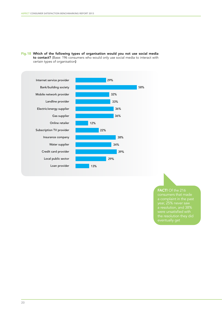

Fig.18 Which of the following types of organisation would you not use social media to contact? (Base: 196 consumers who would only use social media to interact with certain types of organisation)

### FACT! Of the 216

a resolution, and 38%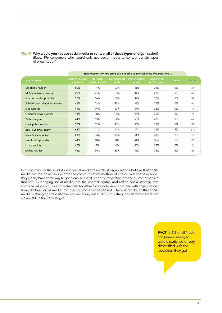|                                  | Total: Reasons for not using social media to contact these organisations |                            |                       |                          |                               |       |             |  |  |
|----------------------------------|--------------------------------------------------------------------------|----------------------------|-----------------------|--------------------------|-------------------------------|-------|-------------|--|--|
| Organisation                     | Security/privacy<br>concerns                                             | No social<br>media account | Don't expect<br>reply | Prefer post or<br>e-mail | Visibility on<br>profile page | Other | <b>Base</b> |  |  |
| Landline provider                | 52%                                                                      | 11%                        | 22%                   | 41%                      | 34%                           | 0%    | 64          |  |  |
| Mobile network provider          | 29%                                                                      | 27%                        | 29%                   | 39%                      | 27%                           | 0%    | 62          |  |  |
| Internet service provider        | 37%                                                                      | 16%                        | 32%                   | 39%                      | 32%                           | 0%    | 57          |  |  |
| Subscription television provider | 43%                                                                      | 23%                        | 27%                   | 39%                      | 32%                           | 0%    | 44          |  |  |
| Gas supplier                     | 41%                                                                      | 20%                        | 27%                   | 47%                      | 33%                           | 0%    | 70          |  |  |
| Electric/energy supplier         | 41%                                                                      | 18%                        | 21%                   | 48%                      | 35%                           | 0%    | 71          |  |  |
| Water supplier                   | 44%                                                                      | 13%                        | 22%                   | 58%                      | 42%                           | 0%    | 67          |  |  |
| Local public sector              | 50%                                                                      | 19%                        | 21%                   | 54%                      | 35%                           | 0%    | 57          |  |  |
| Bank/building society            | 68%                                                                      | 11%                        | 11%                   | 39%                      | 34%                           | 2%    | 114         |  |  |
| Insurance company                | 61%                                                                      | 13%                        | 19%                   | 41%                      | 39%                           | 1%    | 75          |  |  |
| Credit card provider             | 64%                                                                      | 10%                        | 8%                    | 44%                      | 36%                           | 1%    | 77          |  |  |
| Loan provider                    | 46%                                                                      | 8%                         | 8%                    | 50%                      | 35%                           | 0%    | 26          |  |  |
| Online retailer                  | 43%                                                                      | 30%                        | 35%                   | 48%                      | 35%                           | 4%    | 23          |  |  |

Fig.19 Why would you not use social media to contact all of these types of organisation?

(Base: 196 consumers who would only use social media to contact certain types of organisation)

Echoing back to the 2013 Aspect social media research, if organisations believe that social media has the power to become the communication method of choice over the telephone, they clearly have some way to go to ensure that it is tightly integrated into the customer service function. By bringing social media into the contact centre, and rolling out a strategy that combines all communications channels together for a single view, only then with organisations firmly embed social media into their customer engagement. There is no doubt that social media is changing the customer conversation, but in 2013, this study has demonstrated that we are still in the early stages.

> FACT! 8.1% of all 1,000 consumers surveyed were dissatisfied or very dissatisfied with the resolution they got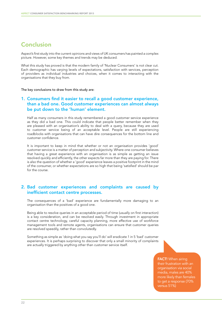## Conclusion

Aspect's first study into the current opinions and views of UK consumers has painted a complex picture. However, some key themes and trends may be deduced.

What this study has proved is that the modern family of 'Nuclear Consumers' is not clear cut. Each demographic has varying levels of expectations, satisfaction with services, perception of providers as individual industries and choices, when it comes to interacting with the organisations that they buy from.

The key conclusions to draw from this study are:

### 1. Consumers find it easier to recall a good customer experience, than a bad one. Good customer experiences can almost always be put down to the 'human' element.

 Half as many consumers in this study remembered a good customer service experience as they did a bad one. This could indicate that people better remember when they are pleased with an organisation's ability to deal with a query, because they are used to customer service being of an acceptable level. People are still experiencing roadblocks with organisations that can have dire consequences for the bottom line and customer confidence.

It is important to keep in mind that whether or not an organisation provides 'good' customer service is a matter of perception and subjectivity. Where one consumer believes that having a great experience with an organisation is as simple as getting an issue resolved quickly and efficiently, the other expects far more than they are paying for. There is also the question of whether a 'good' experience leaves a positive footprint in the mind of the consumer, or whether expectations are so high that being 'satisfied' should be par for the course.

### 2. Bad customer experiences and complaints are caused by inefficient contact centre processes.

 The consequences of a 'bad' experience are fundamentally more damaging to an organisation than the positives of a good one.

Being able to resolve queries in an acceptable period of time (usually on first interaction) is a key consideration, and can be resolved easily. Through investment in appropriate contact centre technology, careful capacity planning, more effective use of workforce management tools and remote agents, organisations can ensure that customer queries are resolved speedily, rather than convolutedly.

Something as simple as 'doing what you say you'll do' will eradicate 1 in 5 'bad' customer experiences. It is perhaps surprising to discover that only a small minority of complaints are actually triggered by anything other than customer service itself.

> **FACT!** When airing their frustration with an organisation via social media, males are 40% more likely than females to get a response (70% versus 51%)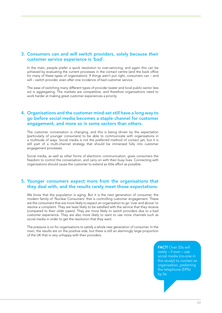### 3. Consumers can and will switch providers, solely because their customer service experience is 'bad'.

 In the main, people prefer a quick resolution to over-servicing, and again this can be achieved by evaluating the current processes in the contact centre (and the back office for many of these types of organisation). If things aren't put right, consumers can – and will – switch provider, even after one incidence of bad customer service.

The ease of switching many different types of provider (water and local public sector less so) is aggregating. The markets are competitive, and therefore organisations need to work harder at making great customer experiences a priority.

### 4. Organisations and the customer mind-set still have a long way to go before social media becomes a staple channel for customer engagement, and more so in some sectors than others.

 The customer conversation is changing, and this is being driven by the expectation (particularly of younger consumers) to be able to communicate with organisations in a multitude of ways. Social media is not the preferred method of contact yet, but it is still part of a multi-channel strategy that should be immersed fully into customer engagement processes.

Social media, as well as other forms of electronic communication, gives consumers the freedom to control the conversation, and carry on with their busy lives. Connecting with organisations should cause the customer to extend as little effort as possible.

### 5. Younger consumers expect more from the organisations that they deal with, and the results rarely meet those expectations.

 We know that the population is aging. But it is the next generation of consumer, the modern family of 'Nuclear Consumers' that is controlling customer engagement. These are the consumers that are more likely to expect an organisation to go 'over and above' to resolve a complaint. They are least likely to be satisfied with the service that they receive (compared to their older peers). They are more likely to switch providers due to a bad customer experience. They are also more likely to want to use more channels such as social media in order to get the resolution that they want.

The pressure is on for organisations to satisfy a whole new generation of consumer. In the main, the results are on the positive side, but there is still an alarmingly large proportion of the UK that is very unhappy with their providers.

> FACT! Over 55s will rarely – if ever – use social media (no-one in this study!) to contact an organisation, preferring the telephone (59%) by far